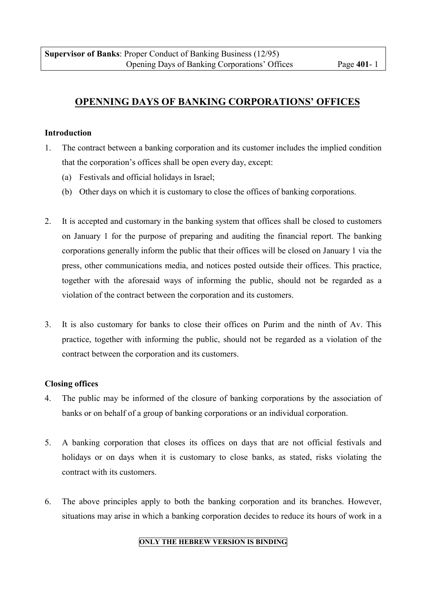# <span id="page-0-0"></span>**OPENNING DAYS OF BANKING CORPORATIONS' OFFICES**

### **Introduction**

- 1. The contract between a banking corporation and its customer includes the implied condition that the corporation's offices shall be open every day, except:
	- (a) Festivals and official holidays in Israel;
	- (b) Other days on which it is customary to close the offices of banking corporations.
- 2. It is accepted and customary in the banking system that offices shall be closed to customers on January 1 for the purpose of preparing and auditing the financial report. The banking corporations generally inform the public that their offices will be closed on January 1 via the press, other communications media, and notices posted outside their offices. This practice, together with the aforesaid ways of informing the public, should not be regarded as a violation of the contract between the corporation and its customers.
- 3. It is also customary for banks to close their offices on Purim and the ninth of Av. This practice, together with informing the public, should not be regarded as a violation of the contract between the corporation and its customers.

### **Closing offices**

- 4. The public may be informed of the closure of banking corporations by the association of banks or on behalf of a group of banking corporations or an individual corporation.
- 5. A banking corporation that closes its offices on days that are not official festivals and holidays or on days when it is customary to close banks, as stated, risks violating the contract with its customers.
- 6. The above principles apply to both the banking corporation and its branches. However, situations may arise in which a banking corporation decides to reduce its hours of work in a

### **ONLY THE HEBREW VERSION IS BINDING**